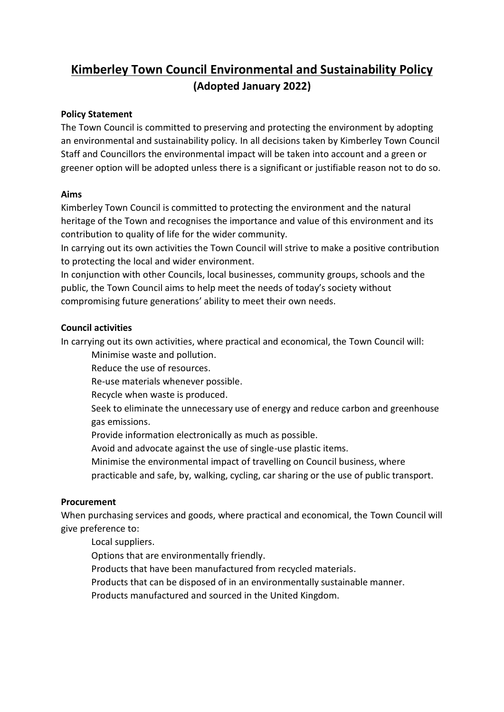# **Kimberley Town Council Environmental and Sustainability Policy (Adopted January 2022)**

## **Policy Statement**

The Town Council is committed to preserving and protecting the environment by adopting an environmental and sustainability policy. In all decisions taken by Kimberley Town Council Staff and Councillors the environmental impact will be taken into account and a green or greener option will be adopted unless there is a significant or justifiable reason not to do so.

## **Aims**

Kimberley Town Council is committed to protecting the environment and the natural heritage of the Town and recognises the importance and value of this environment and its contribution to quality of life for the wider community.

In carrying out its own activities the Town Council will strive to make a positive contribution to protecting the local and wider environment.

In conjunction with other Councils, local businesses, community groups, schools and the public, the Town Council aims to help meet the needs of today's society without compromising future generations' ability to meet their own needs.

## **Council activities**

In carrying out its own activities, where practical and economical, the Town Council will:

- Minimise waste and pollution.
- Reduce the use of resources.
- Re-use materials whenever possible.
- Recycle when waste is produced.
- Seek to eliminate the unnecessary use of energy and reduce carbon and greenhouse gas emissions.
- Provide information electronically as much as possible.
- Avoid and advocate against the use of single-use plastic items.
- Minimise the environmental impact of travelling on Council business, where
- practicable and safe, by, walking, cycling, car sharing or the use of public transport.

# **Procurement**

When purchasing services and goods, where practical and economical, the Town Council will give preference to:

Local suppliers.

- Options that are environmentally friendly.
- Products that have been manufactured from recycled materials.
- Products that can be disposed of in an environmentally sustainable manner.
- Products manufactured and sourced in the United Kingdom.